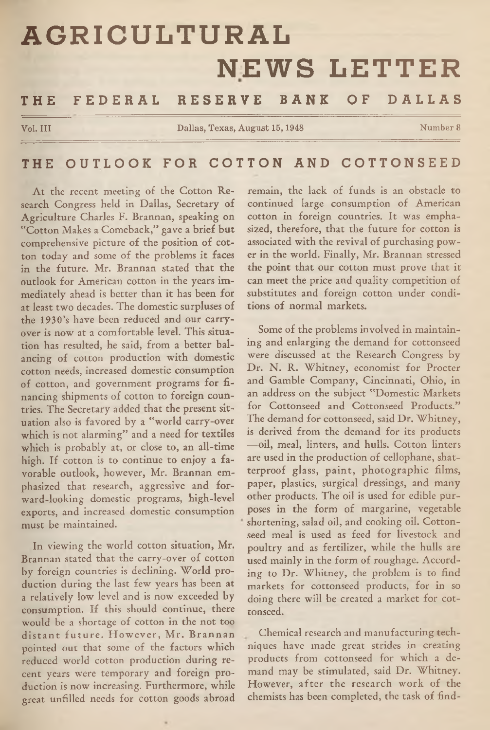# **AGRICULTURAL NEWS LETTER**

# THE FEDERAL RESERVE BANK OF DALLAS

**Vol. Ill Dallas, Texas, August 15,1948 Number 8**

# THE OUTLOOK FOR COTTON AND COTTONSEED

At the recent meeting of the Cotton Research Congress held in Dallas, Secretary of Agriculture Charles F. Brannan, speaking on "Cotton Makes a Comeback," gave a brief but comprehensive picture of the position of cotton today and some of the problems it faces in the future. Mr. Brannan stated that the outlook for American cotton in the years immediately ahead is better than it has been for at least two decades. The domestic surpluses of the 1930's have been reduced and our carryover is now at a comfortable level. This situation has resulted, he said, from a better balancing of cotton production with domestic cotton needs, increased domestic consumption of cotton, and government programs for financing shipments of cotton to foreign countries. The Secretary added that the present situation also is favored by a "world carry-over which is not alarming" and a need for textiles which is probably at, or close to, an all-time high. If cotton is to continue to enjoy a favorable outlook, however, Mr. Brannan emphasized that research, aggressive and forward-looking domestic programs, high-level exports, and increased domestic consumption must be maintained.

In viewing the world cotton situation, Mr. Brannan stated that the carry-over of cotton by foreign countries is declining. World production during the last few years has been at<br>a relatively low level and is now exceeded by consumption. If this should continue, there would be a shortage of cotton in the not too distant future. However, Mr. Brannan pointed out that some of the factors which reduced world cotton production during recent years were temporary and foreign production is now increasing. Furthermore, while great unfilled needs for cotton goods abroad

remain, the lack of funds is an obstacle to continued large consumption of American cotton in foreign countries. It was emphasized, therefore, that the future for cotton is associated with the revival of purchasing power in the world. Finally, Mr. Brannan stressed the point that our cotton must prove that it can meet the price and quality competition of substitutes and foreign cotton under conditions of normal markets.

Some of the problems involved in maintaining and enlarging the demand for cottonseed were discussed at the Research Congress by Dr. N. R. Whitney, economist for Procter and Gamble Company, Cincinnati, Ohio, in an address on the subject "Domestic Markets for Cottonseed and Cottonseed Products." The demand for cottonseed, said Dr. Whitney, is derived from the demand for its products —oil, meal, linters, and hulls. Cotton linters are used in the production of cellophane, shatterproof glass, paint, photographic films, paper, plastics, surgical dressings, and many other products. The oil is used for edible purposes in the form of margarine, vegetable shortening, salad oil, and cooking oil. Cottonseed meal is used as feed for livestock and poultry and as fertilizer, while the hulls are used mainly in the form of roughage. According to Dr. Whitney, the problem is to find markets for cottonseed products, for in so doing there will be created a market for cottonseed.

Chemical research and manufacturing techniques have made great strides in creating products from cottonseed for which a demand may be stimulated, said Dr. Whitney. However, after the research work of the chemists has been completed, the task of find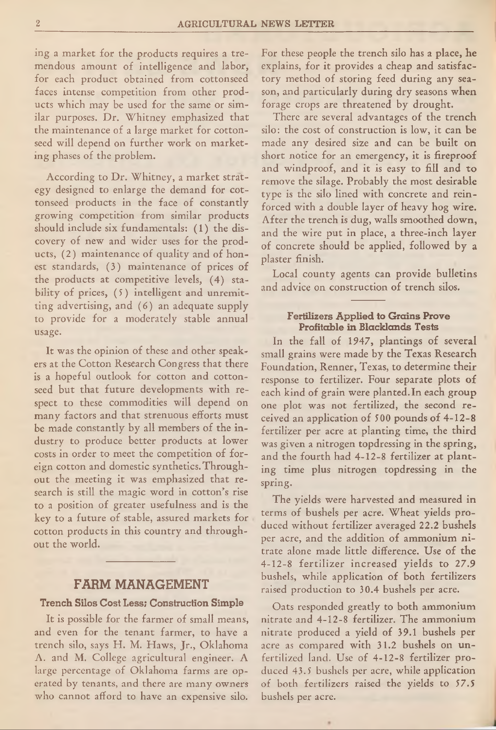ing a market for the products requires a tremendous amount of intelligence and labor, for each product obtained from cottonseed faces intense competition from other products which may be used for the same or similar purposes. Dr. Whitney emphasized that the maintenance of a large market for cottonseed will depend on further work on marketing phases of the problem.

According to Dr. Whitney, a market strategy designed to enlarge the demand for cottonseed products in the face of constantly growing competition from similar products should include six fundamentals: (1) the discovery of new and wider uses for the products, (2) maintenance of quality and of honest standards, (3) maintenance of prices of the products at competitive levels, (4) stability of prices, (5) intelligent and unremitting advertising, and (6) an adequate supply to provide for a moderately stable annual usage.

It was the opinion of these and other speakers at the Cotton Research Congress that there is a hopeful outlook for cotton and cottonseed but that future developments with respect to these commodities will depend on many factors and that strenuous efforts must be made constantly by all members of the industry to produce better products at lower costs in order to meet the competition of foreign cotton and domestic synthetics. Throughout the meeting it was emphasized that research is still the magic word in cotton's rise to a position of greater usefulness and is the key to a future of stable, assured markets for cotton products in this country and throughout the world.

#### FARM MANAGEMENT

#### **Trench Silos Cost Less; Construction Simple**

It is possible for the farmer of small means, and even for the tenant farmer, to have a trench silo, says H. M. Haws, Jr., Oklahoma A. and M. College agricultural engineer. A large percentage of Oklahoma farms are operated by tenants, and there are many owners who cannot afford to have an expensive silo.

For these people the trench silo has a place, he explains, for it provides a cheap and satisfactory method of storing feed during any season, and particularly during dry seasons when forage crops are threatened by drought.

There are several advantages of the trench silo: the cost of construction is low, it can be made any desired size and can be built on short notice for an emergency, it is fireproof and windproof, and it is easy to fill and to remove the silage. Probably the most desirable type is the silo lined with concrete and reinforced with a double layer of heavy hog wire. After the trench is dug, walls smoothed down, and the wire put in place, a three-inch layer of concrete should be applied, followed by a plaster finish.

Local county agents can provide bulletins and advice on construction of trench silos.

# **Fertilizers Applied to Grains Prove Profitable in Blacklands Tests**

In the fall of 1947, plantings of several small grains were made by the Texas Research Foundation, Renner, Texas, to determine their response to fertilizer. Four separate plots of each kind of grain were planted. In each group one plot was not fertilized, the second received an application of 500 pounds of 4-12-8 fertilizer per acre at planting time, the third was given a nitrogen topdressing in the spring, and the fourth had 4-12-8 fertilizer at planting time plus nitrogen topdressing in the spring.

The yields were harvested and measured in terms of bushels per acre. Wheat yields produced without fertilizer averaged 22.2 bushels per acre, and the addition of ammonium nitrate alone made little difference. Use of the 4-12-8 fertilizer increased yields to 27.9 bushels, while application of both fertilizers raised production to 30.4 bushels per acre.

Oats responded greatly to both ammonium nitrate and 4-12-8 fertilizer. The ammonium nitrate produced a yield of 39.1 bushels per acre as compared with 31.2 bushels on unfertilized land. Use of 4-12-8 fertilizer produced 43.5 bushels per acre, while application of both fertilizers raised the yields to 57.5 bushels per acre.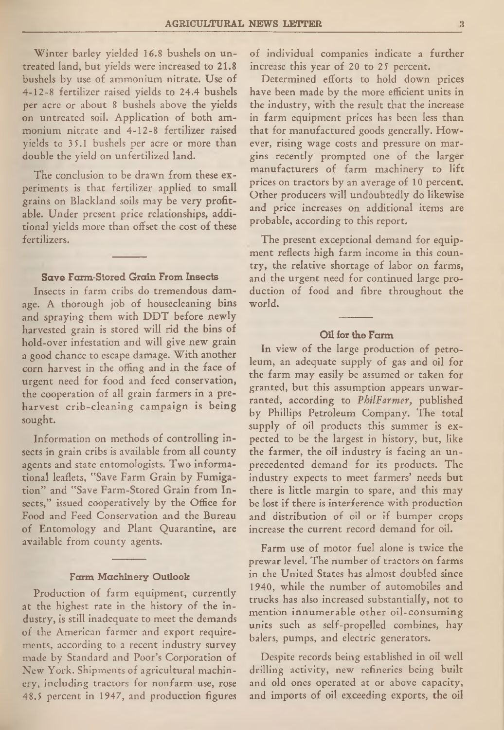Winter barley yielded 16.8 bushels on untreated land, but yields were increased to 21.8 bushels by use of ammonium nitrate. Use of 4-12-8 fertilizer raised yields to 24.4 bushels per acre or about 8 bushels above the yields on untreated soil. Application of both ammonium nitrate and 4-12-8 fertilizer raised yields to 35.1 bushels per acre or more than double the yield on unfertilized land.

The conclusion to be drawn from these experiments is that fertilizer applied to small grains on Blackland soils may be very profitable. Under present price relationships, additional yields more than offset the cost of these fertilizers.

### **Save Farm-Stored Grain From Insects**

Insects in farm cribs do tremendous damage. A thorough job of housecleaning bins and spraying them with DDT before newly harvested grain is stored will rid the bins of hold-over infestation and will give new grain a good chance to escape damage. With another corn harvest in the offing and in the face of urgent need for food and feed conservation, the cooperation of all grain farmers in a preharvest crib-cleaning campaign is being sought.

Information on methods of controlling insects in grain cribs is available from all county agents and state entomologists. Two informational leaflets, "Save Farm Grain by Fumigation" and "Save Farm-Stored Grain from Insects," issued cooperatively by the Office for Food and Feed Conservation and the Bureau of Entomology and Plant Quarantine, are available from county agents.

#### **Farm Machinery Outlook**

Production of farm equipment, currently at the highest rate in the history of the industry, is still inadequate to meet the demands of the American farmer and export requirements, according to a recent industry survey made by Standard and Poor's Corporation of New York. Shipments of agricultural machinery, including tractors for nonfarm use, rose 48.5 percent in 1947, and production figures of individual companies indicate a further increase this year of 20 to 25 percent.

Determined efforts to hold down prices have been made by the more efficient units in the industry, with the result that the increase in farm equipment prices has been less than that for manufactured goods generally. However, rising wage costs and pressure on margins recently prompted one of the larger manufacturers of farm machinery to lift prices on tractors by an average of 10 percent. Other producers will undoubtedly do likewise and price increases on additional items are probable, according to this report.

The present exceptional demand for equipment reflects high farm income in this country, the relative shortage of labor on farms, and the urgent need for continued large production of food and fibre throughout the world.

#### **Oil for the Farm**

In view of the large production of petroleum, an adequate supply of gas and oil for the farm may easily be assumed or taken for granted, but this assumption appears unwarranted, according to *PbilFarmer,* published by Phillips Petroleum Company. The total supply of oil products this summer is expected to be the largest in history, but, like the farmer, the oil industry is facing an unprecedented demand for its products. The industry expects to meet farmers' needs but there is little margin to spare, and this may be lost if there is interference with production and distribution of oil or if bumper crops increase the current record demand for oil.

Farm use of motor fuel alone is twice the prewar level. The number of tractors on farms in the United States has almost doubled since 1940, while the number of automobiles and trucks has also increased substantially, not to mention innumerable other oil-consuming units such as self-propelled combines, hay balers, pumps, and electric generators.

Despite records being established in oil well drilling activity, new refineries being built and old ones operated at or above capacity, and imports of oil exceeding exports, the oil